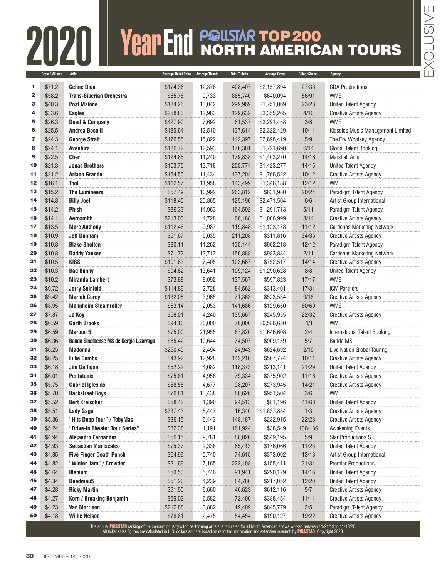## **FRANCE SCRIPTION CONSULTER AMERIC** NORTH AMERICAN TOURS

|          | Gross/Millions   | <b>Artist</b>                                                                                                                                               | Average Ticket Price Average Tickets |                | <b>Total Tickets</b> | <b>Average Gross</b>  | Cities/Shows     | Agency                                           |
|----------|------------------|-------------------------------------------------------------------------------------------------------------------------------------------------------------|--------------------------------------|----------------|----------------------|-----------------------|------------------|--------------------------------------------------|
| 1        | \$71.2           | <b>Celine Dion</b>                                                                                                                                          | \$174.36                             | 12,376         | 408,407              | \$2,157,894           | 27/33            | <b>CDA Productions</b>                           |
| 2        | \$58.2           | <b>Trans-Siberian Orchestra</b>                                                                                                                             | \$65.76                              | 9,733          | 885,740              | \$640,094             | 56/91            | <b>WME</b>                                       |
| з        | \$40.3           | <b>Post Malone</b>                                                                                                                                          | \$134.26                             | 13,042         | 299,969              | \$1,751,069           | 23/23            | <b>United Talent Agency</b>                      |
| 4        | \$33.6           | <b>Eagles</b>                                                                                                                                               | \$258.83                             | 12,963         | 129,632              | \$3,355,265           | 4/10             | <b>Creative Artists Agency</b>                   |
| 5        | \$26.3           | <b>Dead &amp; Company</b>                                                                                                                                   | \$427.90                             | 7,692          | 61,537               | \$3,291,458           | 3/8              | <b>WME</b>                                       |
| 6        | \$25.5           | <b>Andrea Bocelli</b>                                                                                                                                       | \$185.64                             | 12,510         | 137,614              | \$2,322,429           | 10/11            | Klassics Music Management Limited                |
| 7        | \$24.3           | <b>George Strait</b>                                                                                                                                        | \$170.55                             | 15,822         | 142,397              | \$2,698,419           | 5/9              | The Erv Woolsey Agency                           |
| 8        | \$24.1           | Aventura                                                                                                                                                    | \$136.72                             | 12,593         | 176,301              | \$1,721,690           | 6/14             | <b>Global Talent Booking</b>                     |
| 9        | \$22.5           | <b>Cher</b>                                                                                                                                                 | \$124.85                             | 11,240         | 179,838              | \$1,403,270           | 14/16            | <b>Marshall Arts</b>                             |
| 10       | \$21.3           | <b>Jonas Brothers</b>                                                                                                                                       | \$103.75                             | 13,718         | 205,774              | \$1,423,277           | 14/15            | <b>United Talent Agency</b>                      |
| 11       | \$21.2           | <b>Ariana Grande</b>                                                                                                                                        | \$154.50                             | 11,434         | 137,204              | \$1,766,522           | 10/12            | <b>Creative Artists Agency</b>                   |
| 12       | \$16.1           | <b>Tool</b>                                                                                                                                                 | \$112.57                             | 11,958         | 143,499              | \$1,346,188           | 12/12            | <b>WME</b>                                       |
| 13       | \$15.2           | <b>The Lumineers</b>                                                                                                                                        | \$57.49                              | 10,992         | 263,812              | \$631,980             | 20/24            | Paradigm Talent Agency                           |
| 14       | \$14.8           | <b>Billy Joel</b>                                                                                                                                           | \$118.45                             | 20,865         | 125,190              | \$2,471,504           | 6/6              | Artist Group International                       |
| 15       | \$14.2           | Phish                                                                                                                                                       | \$86.33                              | 14,963         | 164,592              | \$1,291,713           | 5/11             | Paradigm Talent Agency                           |
| 16       | \$14.1           | <b>Aerosmith</b>                                                                                                                                            | \$213.00                             | 4,728          | 66,188               | \$1,006,999           | 3/14             | <b>Creative Artists Agency</b>                   |
| 17       | \$13.5           | <b>Marc Anthony</b>                                                                                                                                         | \$112.46                             | 9,987          | 119,848              | \$1,123,178           | 11/12            | <b>Cardenas Marketing Network</b>                |
| 18       | \$10.9           | <b>Jeff Dunham</b>                                                                                                                                          | \$51.67                              | 6,035          | 211,208              | \$311,816             | 34/35            | <b>Creative Artists Agency</b>                   |
| 19       | \$10.8           | <b>Blake Shelton</b>                                                                                                                                        | \$80.11                              | 11,262         | 135,144              | \$902,218             | 12/12            | Paradigm Talent Agency                           |
| 20       | \$10.8           | <b>Daddy Yankee</b>                                                                                                                                         | \$71.72                              | 13,717         | 150,888              | \$983,834             | 2/11             | <b>Cardenas Marketing Network</b>                |
| 21       | \$10.5           | <b>KISS</b>                                                                                                                                                 | \$101.63                             | 7,405          | 103,667              | \$752,517             | 14/14            | <b>Creative Artists Agency</b>                   |
| 22       | \$10.3           | <b>Bad Bunny</b>                                                                                                                                            | \$94.62                              | 13,641         | 109,124              | \$1,290,628           | 8/8              | <b>United Talent Agency</b>                      |
| 23       | \$10.2           | <b>Miranda Lambert</b>                                                                                                                                      | \$73.88                              | 8,092          | 137,567              | \$597,823             | 17/17            | <b>WME</b>                                       |
| 24       | \$9.72           | <b>Jerry Seinfeld</b>                                                                                                                                       | \$114.89                             | 2,728          | 84,562               | \$313,401             | 17/31            | <b>ICM Partners</b>                              |
| 25       | \$9.42           | <b>Mariah Carey</b>                                                                                                                                         | \$132.05                             | 3,965          | 71,363               | \$523,534             | 9/18             | <b>Creative Artists Agency</b>                   |
| 26       | \$8.95           | <b>Mannheim Steamroller</b>                                                                                                                                 | \$63.14                              | 2,053          | 141,686              | \$129,650             | 60/69            | <b>WME</b>                                       |
| 27       | \$7.87           | Jo Koy                                                                                                                                                      | \$58.01                              | 4,240          | 135,667              | \$245,955             | 22/32            | <b>Creative Artists Agency</b>                   |
| 28       | \$6.59           | <b>Garth Brooks</b>                                                                                                                                         | \$94.10                              | 70,000         | 70,000               | \$6,586,650           | 1/1              | <b>WME</b>                                       |
| 29       | \$6.59           | <b>Maroon 5</b>                                                                                                                                             | \$75.00                              | 21,955         | 87,820               | \$1,646,608           | 2/4              | <b>International Talent Booking</b>              |
| 30       | \$6.36           | Banda Sinaloense MS de Sergio Lizarraga                                                                                                                     | \$85.42                              | 10,644         | 74,507               | \$909,159             | 5/7              | <b>Banda MS</b>                                  |
| 31       | \$6.25           | <b>Madonna</b>                                                                                                                                              | \$250.45                             | 2,494          | 24,943               | \$624,692             | 2/10             | Live Nation Global Touring                       |
| 32       | \$6.25           | <b>Luke Combs</b>                                                                                                                                           | \$43.92                              | 12,928         | 142,210              | \$567,774             | 10/11            | <b>Creative Artists Agency</b>                   |
| 33       | \$6.18           | Jim Gaffigan                                                                                                                                                | \$52.22                              | 4,082          | 118,373              | \$213,141             | 21/29            | <b>United Talent Agency</b>                      |
| 34       | \$6.01           | Pentatonix                                                                                                                                                  | \$75.81                              | 4,958          | 79,334               | \$375,902             | 11/16            | <b>Creative Artists Agency</b>                   |
| 35       | \$5.75           | <b>Gabriel Iglesias</b>                                                                                                                                     | \$58.58                              | 4,677          | 98,207               | \$273,945             | 14/21            | <b>Creative Artists Agency</b>                   |
| 36       | \$5.70           | <b>Backstreet Boys</b>                                                                                                                                      | \$70.81                              | 13,438         | 80,626               | \$951,504             | 3/6              | <b>WME</b>                                       |
| 37       | \$5.52           | <b>Bert Kreischer</b>                                                                                                                                       | \$58.42                              | 1,390          | 94,513               | \$81,196              | 41/68            | <b>United Talent Agency</b>                      |
| 38<br>39 | \$5.51           | Lady Gaga<br>"Hits Deep Tour" / TobyMac                                                                                                                     | \$337.43                             | 5,447          | 16,340               | \$1,837,884           | 1/3              | <b>Creative Artists Agency</b>                   |
| 40       | \$5.36           | "Drive-In Theater Tour Series"                                                                                                                              | \$36.15                              | 6,443          | 148,187              | \$232,915<br>\$38,549 | 22/23<br>136/136 | <b>Creative Artists Agency</b>                   |
| 41       | \$5.24<br>\$4.94 | Alejandro Fernández                                                                                                                                         | \$32.38<br>\$56.15                   | 1,191<br>9,781 | 161,924<br>88,026    | \$549,195             | 5/9              | <b>Awakening Events</b><br>Star Productions S.C. |
| 42       | \$4.93           | <b>Sebastian Maniscalco</b>                                                                                                                                 | \$75.37                              | 2,336          | 65,413               | \$176,066             | 11/28            | <b>United Talent Agency</b>                      |
| 43       | \$4.85           | <b>Five Finger Death Punch</b>                                                                                                                              | \$64.99                              | 5,740          | 74,615               | \$373,002             | 13/13            | Artist Group International                       |
| 44       | \$4.82           | "Winter Jam" / Crowder                                                                                                                                      | \$21.69                              | 7,165          | 222,108              | \$155,411             | 31/31            | <b>Premier Productions</b>                       |
| 45       | \$4.64           | Illenium                                                                                                                                                    | \$50.50                              | 5,746          | 91,941               | \$290,179             | 14/16            | <b>United Talent Agency</b>                      |
| 46       | \$4.34           | Deadmau5                                                                                                                                                    | \$51.20                              | 4,239          | 84,780               | \$217,052             | 12/20            | <b>United Talent Agency</b>                      |
| 47       | \$4.28           | <b>Ricky Martin</b>                                                                                                                                         | \$91.90                              | 6,660          | 46,623               | \$612,116             | 5/7              | <b>Creative Artists Agency</b>                   |
| 48       | \$4.27           | Korn / Breaking Benjamin                                                                                                                                    | \$59.02                              | 6,582          | 72,400               | \$388,454             | 11/11            | <b>Creative Artists Agency</b>                   |
| 49       | \$4.23           | <b>Van Morrison</b>                                                                                                                                         | \$217.88                             | 3,882          | 19,409               | \$845,779             | 2/5              | Paradigm Talent Agency                           |
| 50       | \$4.18           | <b>Willie Nelson</b>                                                                                                                                        | \$76.81                              | 2,475          | 54,454               | \$190,127             | 19/22            | <b>Creative Artists Agency</b>                   |
|          |                  | The annual POLLSTAR ranking of the concert industry's top performing artists is tabulated for all North American shows worked between 11/21/19 to 11/18/20. |                                      |                |                      |                       |                  |                                                  |
|          |                  | All ticket sales figures are calculated in U.S. dollars and are based on reported information and extensive research by POLLSTAR. Copyright 2020.           |                                      |                |                      |                       |                  |                                                  |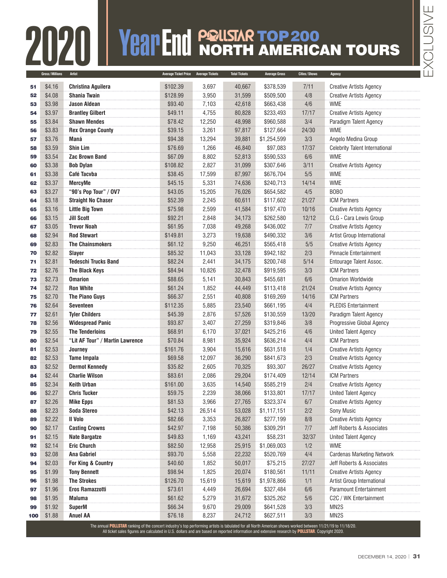## **200 Spaces/Autillons:**<br>Altist American Transport Tried Price Average Tickets Total Trices Average Gross Cities/Shows Agency

|     |                | 2020                            |                             |                        |                      |                      |              | VeapEnd PRISTAR TOP 200               |
|-----|----------------|---------------------------------|-----------------------------|------------------------|----------------------|----------------------|--------------|---------------------------------------|
|     | Gross/Millions | <b>Artist</b>                   | <b>Average Ticket Price</b> | <b>Average Tickets</b> | <b>Total Tickets</b> | <b>Average Gross</b> | Cities/Shows | Agency                                |
|     | \$4.16         | <b>Christina Aguilera</b>       | \$102.39                    | 3,697                  | 40,667               | \$378,539            | 7/11         | <b>Creative Artists Agency</b>        |
| 52  | \$4.08         | <b>Shania Twain</b>             | \$128.99                    | 3,950                  | 31,599               | \$509,500            | 4/8          | <b>Creative Artists Agency</b>        |
|     | \$3.98         | <b>Jason Aldean</b>             | \$93.40                     | 7,103                  | 42,618               | \$663,438            | 4/6          | <b>WME</b>                            |
|     | \$3.97         | <b>Brantley Gilbert</b>         | \$49.11                     | 4,755                  | 80,828               | \$233,493            | 17/17        | <b>Creative Artists Agency</b>        |
|     | \$3.84         | <b>Shawn Mendes</b>             | \$78.42                     | 12,250                 | 48,998               | \$960,588            | 3/4          | Paradigm Talent Agency                |
|     | \$3.83         | <b>Rex Orange County</b>        | \$39.15                     | 3,261                  | 97,817               | \$127,664            | 24/30        | <b>WME</b>                            |
|     | \$3.76         | Maná                            | \$94.38                     | 13,294                 | 39,881               | \$1,254,599          | 3/3          | Angelo Medina Group                   |
|     | \$3.59         | Shin Lim                        | \$76.69                     | 1,266                  | 46,840               | \$97,083             | 17/37        | <b>Celebrity Talent International</b> |
|     | \$3.54         | <b>Zac Brown Band</b>           | \$67.09                     | 8,802                  | 52,813               | \$590,533            | 6/6          | <b>WME</b>                            |
|     | \$3.38         | <b>Bob Dylan</b>                | \$108.82                    | 2,827                  | 31,099               | \$307,646            | 3/11         | <b>Creative Artists Agency</b>        |
|     | \$3.38         | Café Tacvba                     | \$38.45                     | 17,599                 | 87,997               | \$676,704            | 5/5          | <b>WME</b>                            |
|     | \$3.37         | MercyMe                         | \$45.15                     | 5,331                  | 74,636               | \$240,713            | 14/14        | <b>WME</b>                            |
|     | \$3.27         | "90's Pop Tour" / 0V7           | \$43.05                     | 15,205                 | 76,026               | \$654,582            | 4/5          | BOB <sub>O</sub>                      |
|     | \$3.18         | <b>Straight No Chaser</b>       | \$52.39                     | 2,245                  | 60,611               | \$117,602            | 21/27        | <b>ICM Partners</b>                   |
|     | \$3.16         | <b>Little Big Town</b>          | \$75.98                     | 2,599                  | 41,584               | \$197,470            | 10/16        | <b>Creative Artists Agency</b>        |
|     | \$3.15         | <b>Jill Scott</b>               | \$92.21                     | 2,848                  | 34,173               | \$262,580            | 12/12        | CLG - Cara Lewis Group                |
|     | \$3.05         | <b>Trevor Noah</b>              | \$61.95                     | 7,038                  | 49,268               | \$436,002            | 7/7          | <b>Creative Artists Agency</b>        |
|     | \$2.94         | <b>Rod Stewart</b>              | \$149.81                    | 3,273                  | 19,638               | \$490,332            | 3/6          | Artist Group International            |
|     | \$2.83         | <b>The Chainsmokers</b>         | \$61.12                     | 9,250                  | 46,251               | \$565,418            | 5/5          | <b>Creative Artists Agency</b>        |
|     | \$2.82         | Slayer                          | \$85.32                     | 11,043                 | 33,128               | \$942,182            | 2/3          | <b>Pinnacle Entertainment</b>         |
|     | \$2.81         | <b>Tedeschi Trucks Band</b>     | \$82.24                     | 2,441                  | 34,175               | \$200,748            | 5/14         | Entourage Talent Assoc.               |
|     | \$2.76         | The Black Keys                  | \$84.94                     | 10,826                 | 32,478               | \$919,595            | 3/3          | <b>ICM Partners</b>                   |
|     | \$2.73         | <b>Omarion</b>                  | \$88.65                     | 5,141                  | 30,843               | \$455,681            | 6/6          | <b>Omarion Worldwide</b>              |
|     | \$2.72         | <b>Ron White</b>                | \$61.24                     | 1,852                  | 44,449               | \$113,418            | 21/24        | <b>Creative Artists Agency</b>        |
|     | \$2.70         | The Piano Guys                  | \$66.37                     | 2,551                  | 40,808               | \$169,269            | 14/16        | <b>ICM Partners</b>                   |
|     | \$2.64         | <b>Seventeen</b>                | \$112.35                    | 5,885                  | 23,540               | \$661,195            | 4/4          | <b>PLEDIS Entertainment</b>           |
|     | \$2.61         | <b>Tyler Childers</b>           | \$45.39                     | 2,876                  | 57,526               | \$130,559            | 13/20        | Paradigm Talent Agency                |
|     | \$2.56         | <b>Widespread Panic</b>         | \$93.87                     | 3,407                  | 27,259               | \$319,846            | 3/8          | Progressive Global Agency             |
|     | \$2.55         | <b>The Tenderloins</b>          | \$68.91                     | 6,170                  | 37,021               | \$425,216            | 4/6          | <b>United Talent Agency</b>           |
|     | \$2.54         | "Lit AF Tour" / Martin Lawrence | \$70.84                     | 8,981                  | 35,924               | \$636,214            | 4/4          | <b>ICM Partners</b>                   |
|     | \$2.53         | Journey                         | \$161.76                    | 3,904                  | 15,616               | \$631,518            | 1/4          | <b>Creative Artists Agency</b>        |
|     | \$2.53         | <b>Tame Impala</b>              | \$69.58                     | 12,097                 | 36,290               | \$841,673            | 2/3          | <b>Creative Artists Agency</b>        |
|     | \$2.52         | <b>Dermot Kennedy</b>           | \$35.82                     | 2,605                  | 70,325               | \$93,307             | 26/27        | <b>Creative Artists Agency</b>        |
|     | \$2.44         | <b>Charlie Wilson</b>           | \$83.61                     | 2,086                  | 29,204               | \$174,409            | 12/14        | <b>ICM Partners</b>                   |
|     | \$2.34         | <b>Keith Urban</b>              | \$161.00                    | 3,635                  | 14,540               | \$585,219            | 2/4          | <b>Creative Artists Agency</b>        |
|     | \$2.27         | <b>Chris Tucker</b>             | \$59.75                     | 2,239                  | 38,066               | \$133,801            | 17/17        | <b>United Talent Agency</b>           |
|     | \$2.26         | <b>Mike Epps</b>                | \$81.53                     | 3,966                  | 27,765               | \$323,374            | 6/7          | <b>Creative Artists Agency</b>        |
|     | \$2.23         | <b>Soda Stereo</b>              | \$42.13                     | 26,514                 | 53,028               | \$1,117,151          | 2/2          | Sony Music                            |
|     | \$2.22         | Il Volo                         | \$82.66                     | 3,353                  | 26,827               | \$277,199            | 8/8          | <b>Creative Artists Agency</b>        |
|     | \$2.17         | <b>Casting Crowns</b>           | \$42.97                     | 7,198                  | 50,386               | \$309,291            | 7/7          | Jeff Roberts & Associates             |
|     | \$2.15         | <b>Nate Bargatze</b>            | \$49.83                     | 1,169                  | 43,241               | \$58,231             | 32/37        | <b>United Talent Agency</b>           |
|     | \$2.14         | <b>Eric Church</b>              | \$82.50                     | 12,958                 | 25,915               | \$1,069,003          | 1/2          | <b>WME</b>                            |
|     | \$2.08         | <b>Ana Gabriel</b>              | \$93.70                     | 5,558                  | 22,232               | \$520,769            | 4/4          | <b>Cardenas Marketing Network</b>     |
|     | \$2.03         | For King & Country              | \$40.60                     | 1,852                  | 50,017               | \$75,215             | 27/27        | Jeff Roberts & Associates             |
|     | \$1.99         | <b>Tony Bennett</b>             | \$98.94                     | 1,825                  | 20,074               | \$180,561            | 11/11        | <b>Creative Artists Agency</b>        |
|     | \$1.98         | <b>The Strokes</b>              | \$126.70                    | 15,619                 | 15,619               | \$1,978,866          | 1/1          | Artist Group International            |
|     | \$1.96         | <b>Eros Ramazzotti</b>          | \$73.61                     | 4,449                  | 26,694               | \$327,484            | 6/6          | <b>Paramount Entertainment</b>        |
|     | \$1.95         | <b>Maluma</b>                   | \$61.62                     | 5,279                  | 31,672               | \$325,262            | 5/6          | C2C / WK Entertainment                |
|     | \$1.92         | <b>SuperM</b>                   | \$66.34                     | 9,670                  | 29,009               | \$641,528            | 3/3          | MN <sub>2</sub> S                     |
| 100 | \$1.88         | <b>Anuel AA</b>                 | \$76.18                     | 8,237                  | 24,712               | \$627,511            | 3/3          | MN <sub>2</sub> S                     |

The annual **POLLSTAR** ranking of the concert industry's top performing artists is tabulated for all North American shows worked between 11/21/19 to 11/18/20.<br>All ticket sales figures are calculated in U.S. dollars and are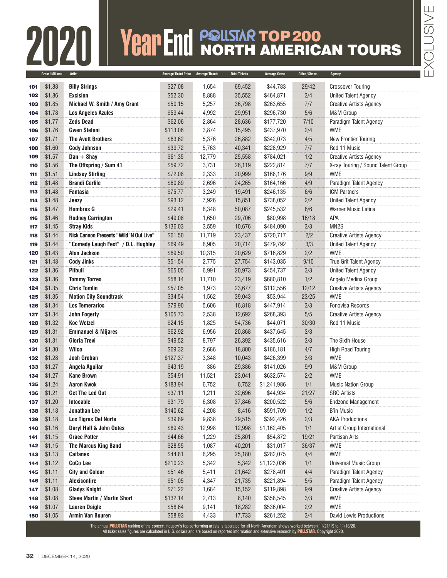## **FRANCE SCRIPTION CONSULTER AMERIC** NORTH AMERICAN TOURS

|            | Gross/Millions   | Artist                                                                                                                                                      | <b>Average Ticket Price</b> | <b>Average Tickets</b> | <b>Total Tickets</b> | <b>Average Gross</b>  | Cities/Shows | Agency                                          |
|------------|------------------|-------------------------------------------------------------------------------------------------------------------------------------------------------------|-----------------------------|------------------------|----------------------|-----------------------|--------------|-------------------------------------------------|
| 101        | \$1.88           | <b>Billy Strings</b>                                                                                                                                        | \$27.08                     | 1,654                  | 69,452               | \$44,783              | 29/42        | <b>Crossover Touring</b>                        |
| 102        | \$1.86           | <b>Excision</b>                                                                                                                                             | \$52.30                     | 8,888                  | 35,552               | \$464.871             | 3/4          | <b>United Talent Agency</b>                     |
| 103        | \$1.85           | Michael W. Smith / Amy Grant                                                                                                                                | \$50.15                     | 5,257                  | 36,798               | \$263,655             | 7/7          | <b>Creative Artists Agency</b>                  |
| 104        | \$1.78           | <b>Los Angeles Azules</b>                                                                                                                                   | \$59.44                     | 4,992                  | 29,951               | \$296,730             | 5/6          | M&M Group                                       |
| 105        | \$1.77           | <b>Zeds Dead</b>                                                                                                                                            | \$62.06                     | 2,864                  | 28,636               | \$177,720             | 7/10         | Paradigm Talent Agency                          |
| 106        | \$1.76           | <b>Gwen Stefani</b>                                                                                                                                         | \$113.06                    | 3,874                  | 15,495               | \$437,970             | 2/4          | <b>WME</b>                                      |
| 107        | \$1.71           | <b>The Avett Brothers</b>                                                                                                                                   | \$63.62                     | 5,376                  | 26,882               | \$342,073             | 4/5          | New Frontier Touring                            |
| 108        | \$1.60           | <b>Cody Johnson</b>                                                                                                                                         | \$39.72                     | 5,763                  | 40,341               | \$228,929             | 7/7          | Red 11 Music                                    |
| 109        | \$1.57           | $Dan + Shay$                                                                                                                                                | \$61.35                     | 12,779                 | 25,558               | \$784,021             | 1/2          | <b>Creative Artists Agency</b>                  |
| 110        | \$1.56           | The Offspring / Sum 41                                                                                                                                      | \$59.72                     | 3,731                  | 26,119               | \$222,814             | 7/7          | X-ray Touring / Sound Talent Group              |
| 111        | \$1.51           | <b>Lindsey Stirling</b>                                                                                                                                     | \$72.08                     | 2,333                  | 20,999               | \$168,176             | 9/9          | <b>WME</b>                                      |
| 112        | \$1.48           | <b>Brandi Carlile</b>                                                                                                                                       | \$60.89                     | 2,696                  | 24,265               | \$164,166             | 4/9          | Paradigm Talent Agency                          |
| 113        | \$1.48           | <b>Fantasia</b>                                                                                                                                             | \$75.77                     | 3,249                  | 19,491               | \$246,135             | 6/6          | <b>ICM Partners</b>                             |
| 114        | \$1.48           | Jeezy                                                                                                                                                       | \$93.12                     | 7,926                  | 15,851               | \$738,052             | 2/2          | <b>United Talent Agency</b>                     |
| 115        | \$1.47           | <b>Hombres G</b>                                                                                                                                            | \$29.41                     | 8,348                  | 50,087               | \$245,532             | 6/6          | <b>Warner Music Latina</b>                      |
| 116        | \$1.46           | <b>Rodney Carrington</b>                                                                                                                                    | \$49.08                     | 1,650                  | 29,706               | \$80,998              | 16/18        | APA                                             |
| 117        | \$1.45           | <b>Stray Kids</b>                                                                                                                                           | \$136.03                    | 3,559                  | 10,676               | \$484,090             | 3/3          | MN <sub>2</sub> S                               |
| 118        | \$1.44           | Nick Cannon Presents "Wild 'N Out Live"                                                                                                                     | \$61.50                     | 11,719                 | 23,437               | \$720,717             | 2/2          | <b>Creative Artists Agency</b>                  |
| 119        | \$1.44           | "Comedy Laugh Fest" / D.L. Hughley                                                                                                                          | \$69.49                     | 6,905                  | 20,714               | \$479,792             | 3/3          | <b>United Talent Agency</b>                     |
| 120        | \$1.43           | <b>Alan Jackson</b>                                                                                                                                         | \$69.50                     | 10,315                 | 20,629               | \$716,829             | 2/2          | <b>WME</b>                                      |
| 121        | \$1.43           | <b>Cody Jinks</b>                                                                                                                                           | \$51.54                     | 2,775                  | 27,754               | \$143,035             | 9/10         | <b>True Grit Talent Agency</b>                  |
| 122        | \$1.36           | Pitbull                                                                                                                                                     | \$65.05                     | 6,991                  | 20,973               | \$454,737             | 3/3          | <b>United Talent Agency</b>                     |
| 123        | \$1.36           | <b>Tommy Torres</b>                                                                                                                                         | \$58.14                     | 11,710                 | 23,419               | \$680,810             | 1/2          | Angelo Medina Group                             |
| 124        | \$1.35           | <b>Chris Tomlin</b>                                                                                                                                         | \$57.05                     | 1,973                  | 23,677               | \$112,556             | 12/12        | <b>Creative Artists Agency</b>                  |
| 125        | \$1.35           | <b>Motion City Soundtrack</b>                                                                                                                               | \$34.54                     | 1,562                  | 39,043               | \$53,944              | 23/25        | <b>WME</b>                                      |
| 126        | \$1.34           | <b>Los Temerarios</b>                                                                                                                                       | \$79.90                     | 5,606                  | 16,818               | \$447,914             | 3/3          | <b>Fonovisa Records</b>                         |
| 127        | \$1.34           | <b>John Fogerty</b>                                                                                                                                         | \$105.73                    | 2,538                  | 12,692               | \$268,393             | 5/5          | <b>Creative Artists Agency</b>                  |
| 128        | \$1.32           | <b>Koe Wetzel</b>                                                                                                                                           | \$24.15                     | 1,825                  | 54,736               | \$44,071              | 30/30        | Red 11 Music                                    |
| 129        | \$1.31           | <b>Emmanuel &amp; Mijares</b>                                                                                                                               | \$62.92                     | 6,956                  | 20,868               | \$437,645             | 3/3          |                                                 |
| 130        | \$1.31           | <b>Gloria Trevi</b>                                                                                                                                         | \$49.52                     | 8,797                  | 26,392               | \$435,616             | 3/3          | The Sixth House                                 |
| 131        | \$1.30           | <b>Wilco</b>                                                                                                                                                | \$69.32                     | 2,686                  | 18,800               | \$186,181             | 4/7          | <b>High Road Touring</b>                        |
| 132        | \$1.28           | <b>Josh Groban</b>                                                                                                                                          | \$127.37                    | 3,348                  | 10,043               | \$426,399             | 3/3          | <b>WME</b>                                      |
| 133        | \$1.27           | Angela Aguilar                                                                                                                                              | \$43.19                     | 386                    | 29,386               | \$141,026             | 9/9          | M&M Group                                       |
| 134        | \$1.27           | <b>Kane Brown</b>                                                                                                                                           | \$54.91                     | 11,521                 | 23,041               | \$632,574             | 2/2          | <b>WME</b>                                      |
| 135        | \$1.24           | <b>Aaron Kwok</b>                                                                                                                                           | \$183.94                    | 6,752                  | 6,752                | \$1,241,986           | 1/1          | <b>Music Nation Group</b>                       |
| 136        | \$1.21<br>\$1.20 | <b>Get The Led Out</b><br><b>Intocable</b>                                                                                                                  | \$37.11<br>\$31.79          | 1,211<br>6,308         | 32,696<br>37,846     | \$44,934<br>\$200,522 | 21/27<br>5/6 | <b>SRO Artists</b><br><b>Endzone Management</b> |
| 137<br>138 | \$1.18           | <b>Jonathan Lee</b>                                                                                                                                         | \$140.62                    | 4,208                  | 8,416                | \$591,709             | 1/2          | <b>B'in Music</b>                               |
| 139        | \$1.18           | <b>Los Tigres Del Norte</b>                                                                                                                                 | \$39.89                     | 9,838                  | 29,515               | \$392,426             | 2/3          | <b>AKA Productions</b>                          |
| 140        | \$1.16           | Daryl Hall & John Oates                                                                                                                                     | \$89.43                     | 12,998                 | 12,998               | \$1,162,405           | 1/1          | Artist Group International                      |
| 141        | \$1.15           | <b>Grace Potter</b>                                                                                                                                         | \$44.66                     | 1,229                  | 25,801               | \$54,872              | 19/21        | Partisan Arts                                   |
| 142        | \$1.15           | <b>The Marcus King Band</b>                                                                                                                                 | \$28.55                     | 1,087                  | 40,201               | \$31,017              | 36/37        | <b>WME</b>                                      |
| 143        | \$1.13           | <b>Caifanes</b>                                                                                                                                             | \$44.81                     | 6,295                  | 25,180               | \$282,075             | 4/4          | <b>WME</b>                                      |
| 144        | \$1.12           | <b>CoCo Lee</b>                                                                                                                                             | \$210.23                    | 5,342                  | 5,342                | \$1,123,036           | 1/1          | <b>Universal Music Group</b>                    |
| 145        | \$1.11           | <b>City and Colour</b>                                                                                                                                      | \$51.46                     | 5,411                  | 21,642               | \$278,401             | 4/4          | Paradigm Talent Agency                          |
| 146        | \$1.11           | <b>Alexisonfire</b>                                                                                                                                         | \$51.05                     | 4,347                  | 21,735               | \$221,894             | 5/5          | Paradigm Talent Agency                          |
| 147        | \$1.08           | <b>Gladys Knight</b>                                                                                                                                        | \$71.22                     | 1,684                  | 15,152               | \$119,898             | 9/9          | <b>Creative Artists Agency</b>                  |
| 148        | \$1.08           | <b>Steve Martin / Martin Short</b>                                                                                                                          | \$132.14                    | 2,713                  | 8,140                | \$358,545             | 3/3          | <b>WME</b>                                      |
| 149        | \$1.07           | <b>Lauren Daigle</b>                                                                                                                                        | \$58.64                     | 9,141                  | 18,282               | \$536,004             | 2/2          | <b>WME</b>                                      |
| 150        | \$1.05           | <b>Armin Van Buuren</b>                                                                                                                                     | \$58.93                     | 4,433                  | 17,733               | \$261,252             | 3/4          | David Lewis Productions                         |
|            |                  | The annual POLLSTAR ranking of the concert industry's top performing artists is tabulated for all North American shows worked between 11/21/19 to 11/18/20. |                             |                        |                      |                       |              |                                                 |
|            |                  | All ticket sales figures are calculated in U.S. dollars and are based on reported information and extensive research by POLLSTAR. Copyright 2020.           |                             |                        |                      |                       |              |                                                 |